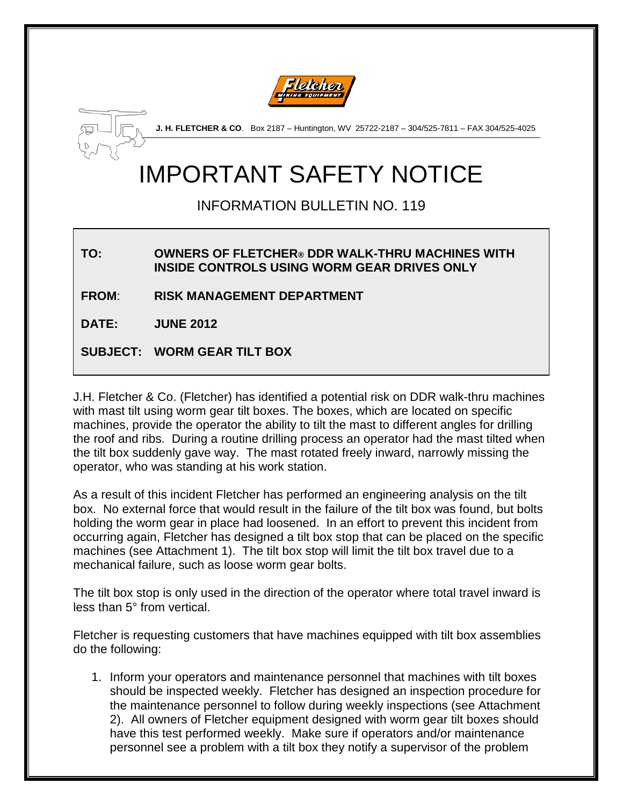



**J. H. FLETCHER & CO**. Box 2187 – Huntington, WV 25722-2187 – 304/525-7811 – FAX 304/525-4025

# IMPORTANT SAFETY NOTICE

## INFORMATION BULLETIN NO. 119

#### **TO: OWNERS OF FLETCHER® DDR WALK-THRU MACHINES WITH INSIDE CONTROLS USING WORM GEAR DRIVES ONLY**

**FROM**: **RISK MANAGEMENT DEPARTMENT**

**DATE: JUNE 2012**

**SUBJECT: WORM GEAR TILT BOX**

J.H. Fletcher & Co. (Fletcher) has identified a potential risk on DDR walk-thru machines with mast tilt using worm gear tilt boxes. The boxes, which are located on specific machines, provide the operator the ability to tilt the mast to different angles for drilling the roof and ribs. During a routine drilling process an operator had the mast tilted when the tilt box suddenly gave way. The mast rotated freely inward, narrowly missing the operator, who was standing at his work station.

As a result of this incident Fletcher has performed an engineering analysis on the tilt box. No external force that would result in the failure of the tilt box was found, but bolts holding the worm gear in place had loosened. In an effort to prevent this incident from occurring again, Fletcher has designed a tilt box stop that can be placed on the specific machines (see Attachment 1). The tilt box stop will limit the tilt box travel due to a mechanical failure, such as loose worm gear bolts.

The tilt box stop is only used in the direction of the operator where total travel inward is less than 5° from vertical.

Fletcher is requesting customers that have machines equipped with tilt box assemblies do the following:

1. Inform your operators and maintenance personnel that machines with tilt boxes should be inspected weekly. Fletcher has designed an inspection procedure for the maintenance personnel to follow during weekly inspections (see Attachment 2). All owners of Fletcher equipment designed with worm gear tilt boxes should have this test performed weekly. Make sure if operators and/or maintenance personnel see a problem with a tilt box they notify a supervisor of the problem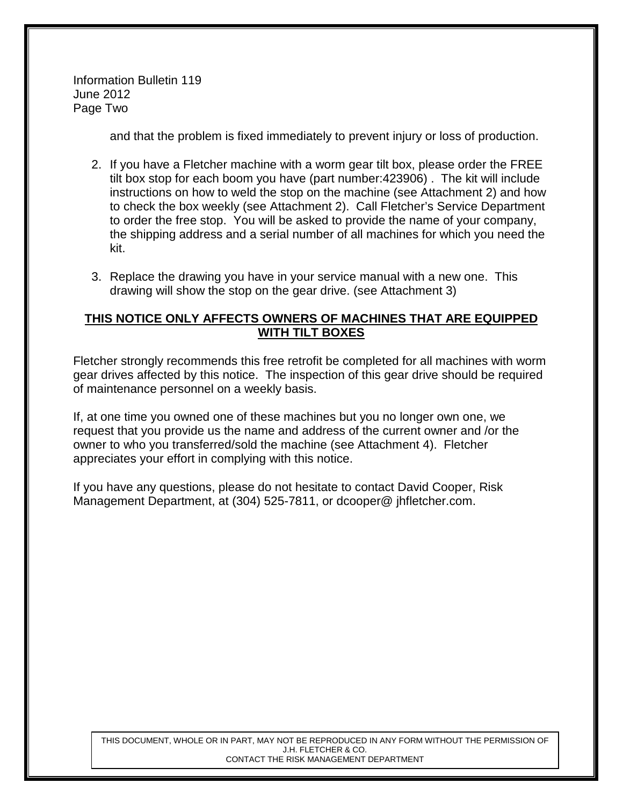Information Bulletin 119 June 2012 Page Two

and that the problem is fixed immediately to prevent injury or loss of production.

- 2. If you have a Fletcher machine with a worm gear tilt box, please order the FREE tilt box stop for each boom you have (part number:423906) . The kit will include instructions on how to weld the stop on the machine (see Attachment 2) and how to check the box weekly (see Attachment 2). Call Fletcher's Service Department to order the free stop. You will be asked to provide the name of your company, the shipping address and a serial number of all machines for which you need the kit.
- 3. Replace the drawing you have in your service manual with a new one. This drawing will show the stop on the gear drive. (see Attachment 3)

#### **THIS NOTICE ONLY AFFECTS OWNERS OF MACHINES THAT ARE EQUIPPED WITH TILT BOXES**

Fletcher strongly recommends this free retrofit be completed for all machines with worm gear drives affected by this notice. The inspection of this gear drive should be required of maintenance personnel on a weekly basis.

If, at one time you owned one of these machines but you no longer own one, we request that you provide us the name and address of the current owner and /or the owner to who you transferred/sold the machine (see Attachment 4). Fletcher appreciates your effort in complying with this notice.

If you have any questions, please do not hesitate to contact David Cooper, Risk Management Department, at (304) 525-7811, or dcooper@ jhfletcher.com.

THIS DOCUMENT, WHOLE OR IN PART, MAY NOT BE REPRODUCED IN ANY FORM WITHOUT THE PERMISSION OF J.H. FLETCHER & CO. CONTACT THE RISK MANAGEMENT DEPARTMENT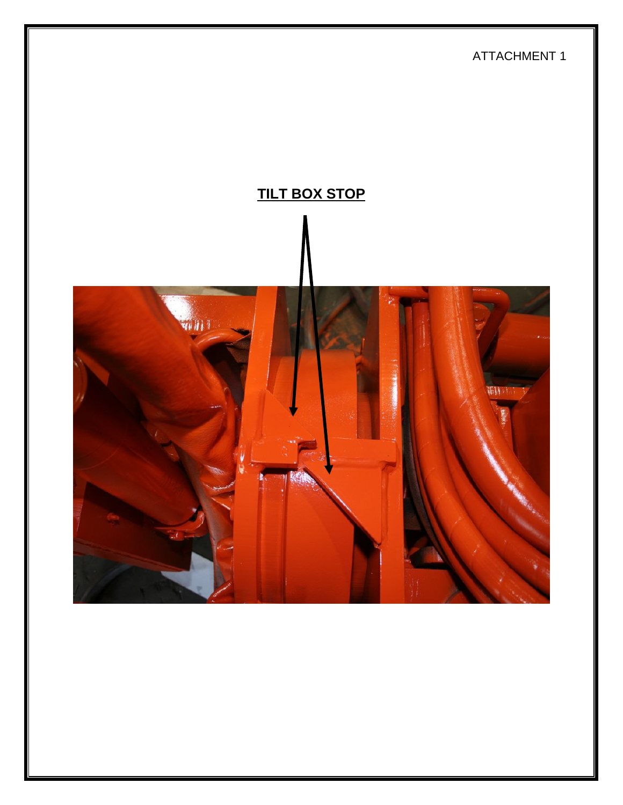ATTACHMENT 1

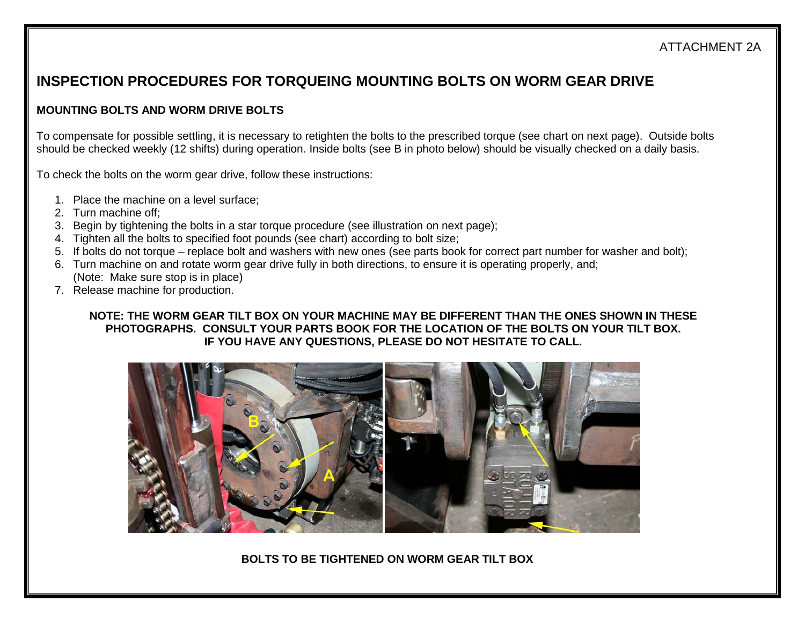#### ATTACHMENT 2A

### **INSPECTION PROCEDURES FOR TORQUEING MOUNTING BOLTS ON WORM GEAR DRIVE**

#### **MOUNTING BOLTS AND WORM DRIVE BOLTS**

To compensate for possible settling, it is necessary to retighten the bolts to the prescribed torque (see chart on next page). Outside bolts should be checked weekly (12 shifts) during operation. Inside bolts (see B in photo below) should be visually checked on a daily basis.

To check the bolts on the worm gear drive, follow these instructions:

- 1. Place the machine on a level surface;
- 2. Turn machine off;
- 3. Begin by tightening the bolts in a star torque procedure (see illustration on next page);
- 4. Tighten all the bolts to specified foot pounds (see chart) according to bolt size;
- 5. If bolts do not torque replace bolt and washers with new ones (see parts book for correct part number for washer and bolt);
- 6. Turn machine on and rotate worm gear drive fully in both directions, to ensure it is operating properly, and; (Note: Make sure stop is in place)
- 7. Release machine for production.

#### **NOTE: THE WORM GEAR TILT BOX ON YOUR MACHINE MAY BE DIFFERENT THAN THE ONES SHOWN IN THESE PHOTOGRAPHS. CONSULT YOUR PARTS BOOK FOR THE LOCATION OF THE BOLTS ON YOUR TILT BOX. IF YOU HAVE ANY QUESTIONS, PLEASE DO NOT HESITATE TO CALL.**



**BOLTS TO BE TIGHTENED ON WORM GEAR TILT BOX**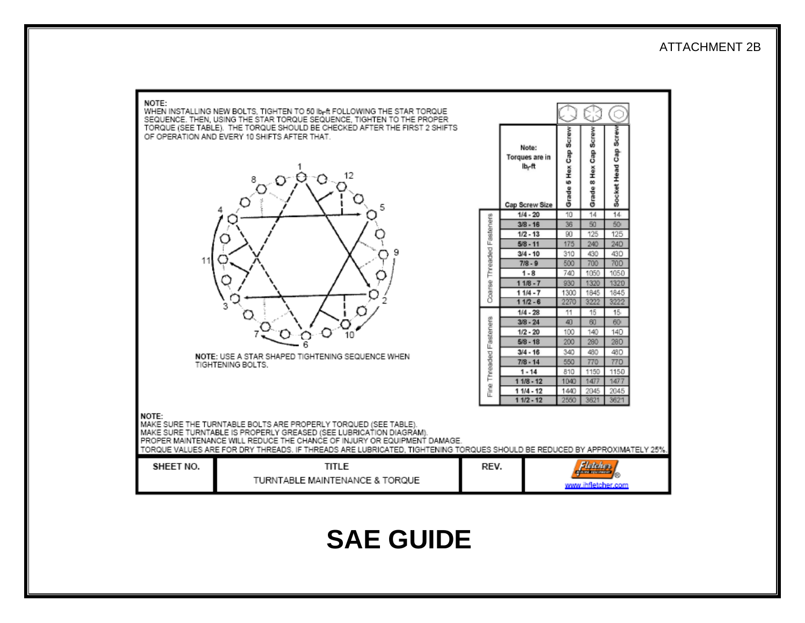#### ATTACHMENT 2B

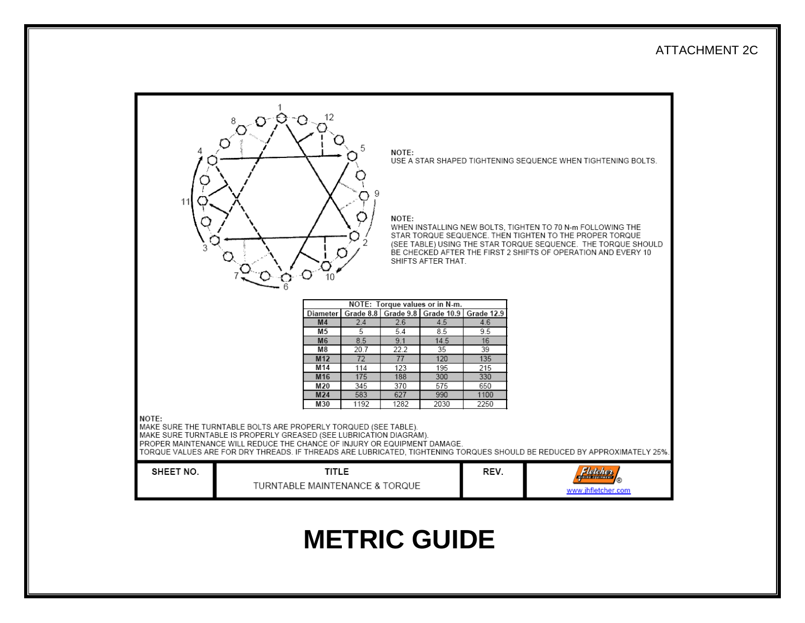#### ATTACHMENT 2C



# **METRIC GUIDE**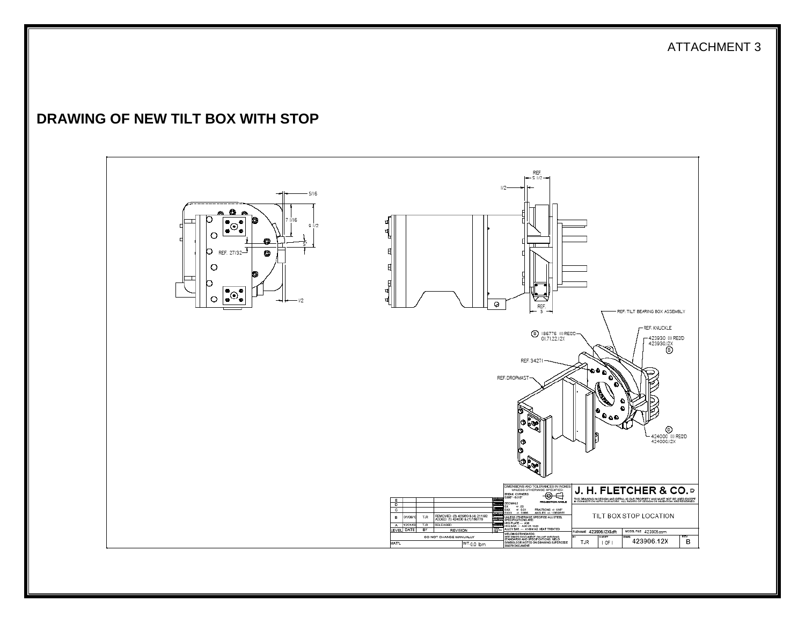ATTACHMENT 3

### **DRAWING OF NEW TILT BOX WITH STOP**